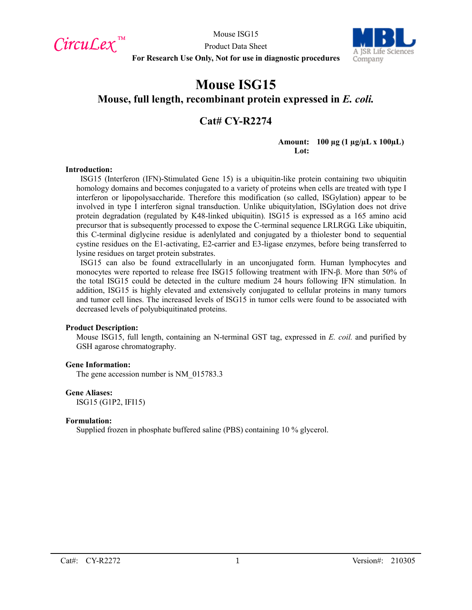$CircuLex$ <sup>TM</sup>

Mouse ISG15



Product Data Sheet **For Research Use Only, Not for use in diagnostic procedures**

# **Mouse ISG15 Mouse, full length, recombinant protein expressed in** *E. coli.*

## **Cat# CY-R2274**

**Amount: 100 µg (1 µg/µL x 100µL) Lot:**

#### **Introduction:**

ISG15 (Interferon (IFN)-Stimulated Gene 15) is a ubiquitin-like protein containing two ubiquitin homology domains and becomes conjugated to a variety of proteins when cells are treated with type I interferon or lipopolysaccharide. Therefore this modification (so called, ISGylation) appear to be involved in type I interferon signal transduction. Unlike ubiquitylation, ISGylation does not drive protein degradation (regulated by K48-linked ubiquitin). ISG15 is expressed as a 165 amino acid precursor that is subsequently processed to expose the C-terminal sequence LRLRGG. Like ubiquitin, this C-terminal diglycine residue is adenlylated and conjugated by a thiolester bond to sequential cystine residues on the E1-activating, E2-carrier and E3-ligase enzymes, before being transferred to lysine residues on target protein substrates.

ISG15 can also be found extracellularly in an unconjugated form. Human lymphocytes and monocytes were reported to release free ISG15 following treatment with IFN-β. More than 50% of the total ISG15 could be detected in the culture medium 24 hours following IFN stimulation. In addition, ISG15 is highly elevated and extensively conjugated to cellular proteins in many tumors and tumor cell lines. The increased levels of ISG15 in tumor cells were found to be associated with decreased levels of polyubiquitinated proteins.

#### **Product Description:**

Mouse ISG15, full length, containing an N-terminal GST tag, expressed in *E. coil.* and purified by GSH agarose chromatography.

#### **Gene Information:**

The gene accession number is NM 015783.3

#### **Gene Aliases:**

ISG15 (G1P2, IFI15)

#### **Formulation:**

Supplied frozen in phosphate buffered saline (PBS) containing 10 % glycerol.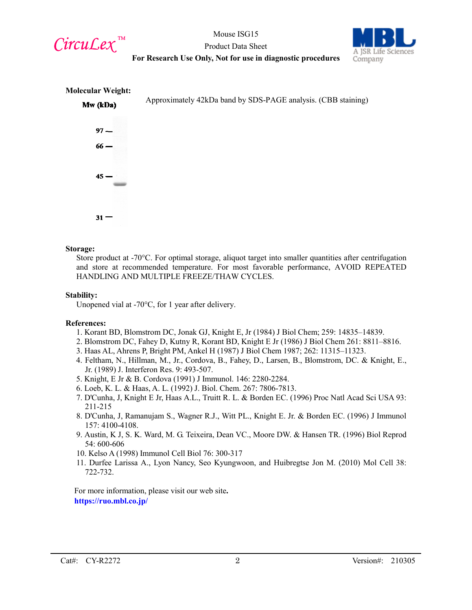

Mouse ISG15 Product Data Sheet



## **For Research Use Only, Not for use in diagnostic procedures**



#### **Storage:**

Store product at -70°C. For optimal storage, aliquot target into smaller quantities after centrifugation and store at recommended temperature. For most favorable performance, AVOID REPEATED HANDLING AND MULTIPLE FREEZE/THAW CYCLES.

#### **Stability:**

Unopened vial at -70°C, for 1 year after delivery.

## **References:**

- 1. Korant BD, Blomstrom DC, Jonak GJ, Knight E, Jr (1984) J Biol Chem; 259: 14835–14839.
- 2. Blomstrom DC, Fahey D, Kutny R, Korant BD, Knight E Jr (1986) J Biol Chem 261: 8811–8816.
- 3. Haas AL, Ahrens P, Bright PM, Ankel H (1987) J Biol Chem 1987; 262: 11315–11323.
- 4. Feltham, N., Hillman, M., Jr., Cordova, B., Fahey, D., Larsen, B., Blomstrom, DC. & Knight, E., Jr. (1989) J. Interferon Res. 9: 493-507.
- 5. Knight, E Jr & B. Cordova (1991) J Immunol. 146: 2280-2284.
- 6. Loeb, K. L. & Haas, A. L. (1992) J. Biol. Chem. 267: 7806-7813.
- 7. D'Cunha, J, Knight E Jr, Haas A.L., Truitt R. L. & Borden EC. (1996) Proc Natl Acad Sci USA 93: 211-215
- 8. D'Cunha, J, Ramanujam S., Wagner R.J., Witt PL., Knight E. Jr. & Borden EC. (1996) J Immunol 157: 4100-4108.
- 9. Austin, K J, S. K. Ward, M. G. Teixeira, Dean VC., Moore DW. & Hansen TR. (1996) Biol Reprod 54: 600-606
- 10. Kelso A (1998) Immunol Cell Biol 76: 300-317
- 11. Durfee Larissa A., Lyon Nancy, Seo Kyungwoon, and Huibregtse Jon M. (2010) Mol Cell 38: 722-732.

For more information, please visit our web site**. https://ruo.mbl.co.jp/**